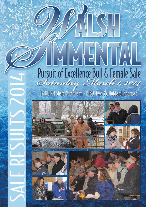# NENTA Pursuit of Excellence Bull & Female Sale Saturday, March 1, 2014

12:00 PM Sharp At the Farm - 1989 Hwy. 35, Hubbard, Nebraska









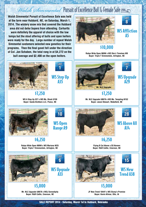## Walsh Simmental Pursuit of Excellence Bull & Female Sale 2014

**Walsh Simmental Pursuit of Excellence Sale was held at the farm near Hubbard, NE, on Saturday, March 1, 2014. The wintery snow mix that covered the Hubbard area did not defer buyers from attending. Carhartts were definitely the apparel of choice with the low temps but the stout offering of bulls and open heifers were ready for the day. Large number of repeat Walsh Simmental customers selected new genetics for their programs. Then the final gavel fell under the direction of Col. Jon Schaben, the total rang in at \$4,272 on the bull average and \$2,400 on the open heifers.**





WS Affliction A5

#### \$10,000

**Rubys Wide Open 969W x WS She's Timeless W9 Buyer: Triple T Simmentals, Arlington, NE**



**SALE REPORT 2014 - Saturday, March 1st in Hubbard, Nebraska**